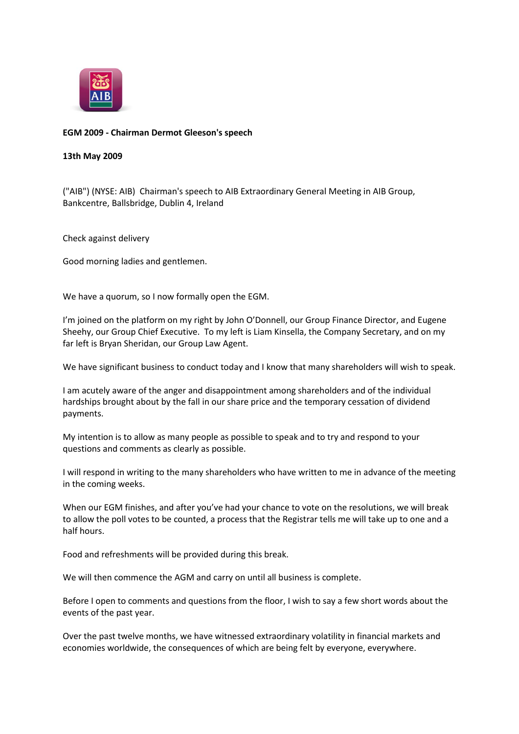

## **EGM 2009 - Chairman Dermot Gleeson's speech**

## **13th May 2009**

("AIB") (NYSE: AIB) Chairman's speech to AIB Extraordinary General Meeting in AIB Group, Bankcentre, Ballsbridge, Dublin 4, Ireland

Check against delivery

Good morning ladies and gentlemen.

We have a quorum, so I now formally open the EGM.

I'm joined on the platform on my right by John O'Donnell, our Group Finance Director, and Eugene Sheehy, our Group Chief Executive. To my left is Liam Kinsella, the Company Secretary, and on my far left is Bryan Sheridan, our Group Law Agent.

We have significant business to conduct today and I know that many shareholders will wish to speak.

I am acutely aware of the anger and disappointment among shareholders and of the individual hardships brought about by the fall in our share price and the temporary cessation of dividend payments.

My intention is to allow as many people as possible to speak and to try and respond to your questions and comments as clearly as possible.

I will respond in writing to the many shareholders who have written to me in advance of the meeting in the coming weeks.

When our EGM finishes, and after you've had your chance to vote on the resolutions, we will break to allow the poll votes to be counted, a process that the Registrar tells me will take up to one and a half hours.

Food and refreshments will be provided during this break.

We will then commence the AGM and carry on until all business is complete.

Before I open to comments and questions from the floor, I wish to say a few short words about the events of the past year.

Over the past twelve months, we have witnessed extraordinary volatility in financial markets and economies worldwide, the consequences of which are being felt by everyone, everywhere.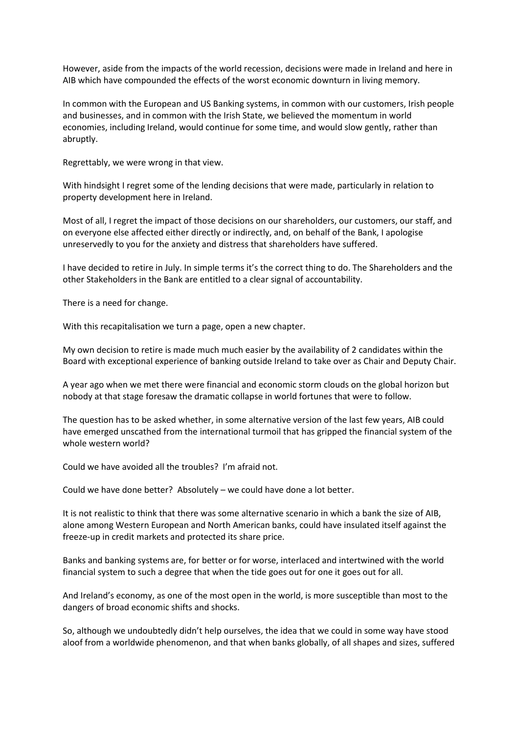However, aside from the impacts of the world recession, decisions were made in Ireland and here in AIB which have compounded the effects of the worst economic downturn in living memory.

In common with the European and US Banking systems, in common with our customers, Irish people and businesses, and in common with the Irish State, we believed the momentum in world economies, including Ireland, would continue for some time, and would slow gently, rather than abruptly.

Regrettably, we were wrong in that view.

With hindsight I regret some of the lending decisions that were made, particularly in relation to property development here in Ireland.

Most of all, I regret the impact of those decisions on our shareholders, our customers, our staff, and on everyone else affected either directly or indirectly, and, on behalf of the Bank, I apologise unreservedly to you for the anxiety and distress that shareholders have suffered.

I have decided to retire in July. In simple terms it's the correct thing to do. The Shareholders and the other Stakeholders in the Bank are entitled to a clear signal of accountability.

There is a need for change.

With this recapitalisation we turn a page, open a new chapter.

My own decision to retire is made much much easier by the availability of 2 candidates within the Board with exceptional experience of banking outside Ireland to take over as Chair and Deputy Chair.

A year ago when we met there were financial and economic storm clouds on the global horizon but nobody at that stage foresaw the dramatic collapse in world fortunes that were to follow.

The question has to be asked whether, in some alternative version of the last few years, AIB could have emerged unscathed from the international turmoil that has gripped the financial system of the whole western world?

Could we have avoided all the troubles? I'm afraid not.

Could we have done better? Absolutely – we could have done a lot better.

It is not realistic to think that there was some alternative scenario in which a bank the size of AIB, alone among Western European and North American banks, could have insulated itself against the freeze-up in credit markets and protected its share price.

Banks and banking systems are, for better or for worse, interlaced and intertwined with the world financial system to such a degree that when the tide goes out for one it goes out for all.

And Ireland's economy, as one of the most open in the world, is more susceptible than most to the dangers of broad economic shifts and shocks.

So, although we undoubtedly didn't help ourselves, the idea that we could in some way have stood aloof from a worldwide phenomenon, and that when banks globally, of all shapes and sizes, suffered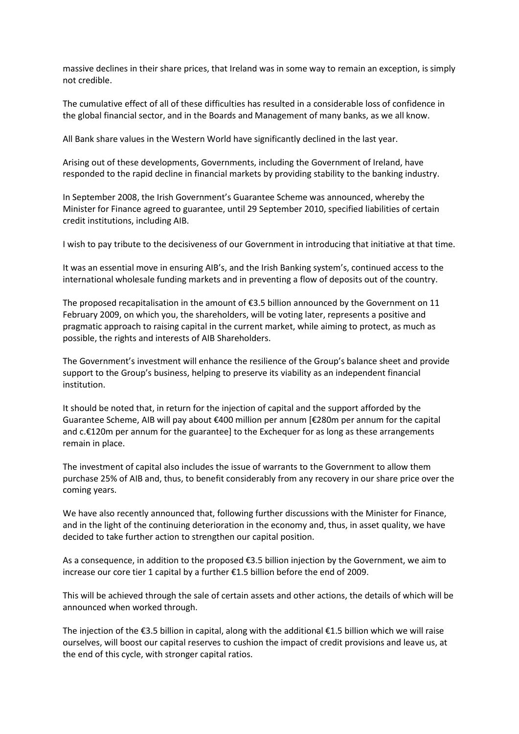massive declines in their share prices, that Ireland was in some way to remain an exception, is simply not credible.

The cumulative effect of all of these difficulties has resulted in a considerable loss of confidence in the global financial sector, and in the Boards and Management of many banks, as we all know.

All Bank share values in the Western World have significantly declined in the last year.

Arising out of these developments, Governments, including the Government of Ireland, have responded to the rapid decline in financial markets by providing stability to the banking industry.

In September 2008, the Irish Government's Guarantee Scheme was announced, whereby the Minister for Finance agreed to guarantee, until 29 September 2010, specified liabilities of certain credit institutions, including AIB.

I wish to pay tribute to the decisiveness of our Government in introducing that initiative at that time.

It was an essential move in ensuring AIB's, and the Irish Banking system's, continued access to the international wholesale funding markets and in preventing a flow of deposits out of the country.

The proposed recapitalisation in the amount of  $\epsilon$ 3.5 billion announced by the Government on 11 February 2009, on which you, the shareholders, will be voting later, represents a positive and pragmatic approach to raising capital in the current market, while aiming to protect, as much as possible, the rights and interests of AIB Shareholders.

The Government's investment will enhance the resilience of the Group's balance sheet and provide support to the Group's business, helping to preserve its viability as an independent financial institution.

It should be noted that, in return for the injection of capital and the support afforded by the Guarantee Scheme, AIB will pay about €400 million per annum [€280m per annum for the capital and c.€120m per annum for the guarantee] to the Exchequer for as long as these arrangements remain in place.

The investment of capital also includes the issue of warrants to the Government to allow them purchase 25% of AIB and, thus, to benefit considerably from any recovery in our share price over the coming years.

We have also recently announced that, following further discussions with the Minister for Finance, and in the light of the continuing deterioration in the economy and, thus, in asset quality, we have decided to take further action to strengthen our capital position.

As a consequence, in addition to the proposed €3.5 billion injection by the Government, we aim to increase our core tier 1 capital by a further €1.5 billion before the end of 2009.

This will be achieved through the sale of certain assets and other actions, the details of which will be announced when worked through.

The injection of the €3.5 billion in capital, along with the additional €1.5 billion which we will raise ourselves, will boost our capital reserves to cushion the impact of credit provisions and leave us, at the end of this cycle, with stronger capital ratios.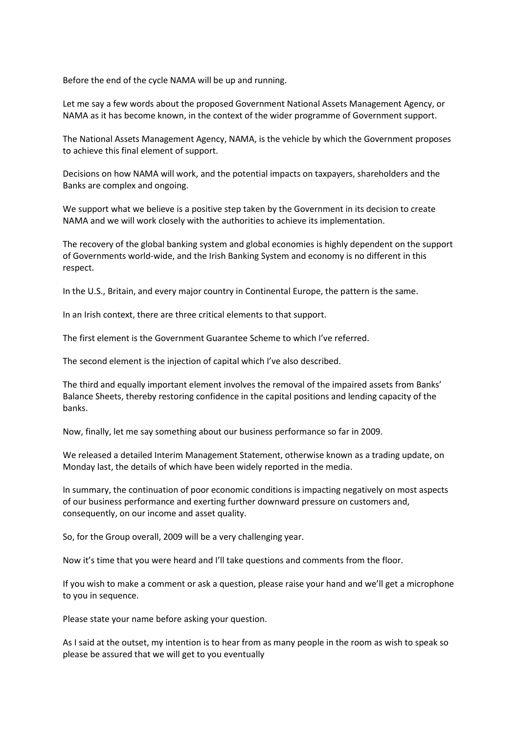Before the end of the cycle NAMA will be up and running.

Let me say a few words about the proposed Government National Assets Management Agency, or NAMA as it has become known, in the context of the wider programme of Government support.

The National Assets Management Agency, NAMA, is the vehicle by which the Government proposes to achieve this final element of support.

Decisions on how NAMA will work, and the potential impacts on taxpayers, shareholders and the Banks are complex and ongoing.

We support what we believe is a positive step taken by the Government in its decision to create NAMA and we will work closely with the authorities to achieve its implementation.

The recovery of the global banking system and global economies is highly dependent on the support of Governments world-wide, and the Irish Banking System and economy is no different in this respect.

In the U.S., Britain, and every major country in Continental Europe, the pattern is the same.

In an Irish context, there are three critical elements to that support.

The first element is the Government Guarantee Scheme to which I've referred.

The second element is the injection of capital which I've also described.

The third and equally important element involves the removal of the impaired assets from Banks' Balance Sheets, thereby restoring confidence in the capital positions and lending capacity of the banks.

Now, finally, let me say something about our business performance so far in 2009.

We released a detailed Interim Management Statement, otherwise known as a trading update, on Monday last, the details of which have been widely reported in the media.

In summary, the continuation of poor economic conditions is impacting negatively on most aspects of our business performance and exerting further downward pressure on customers and, consequently, on our income and asset quality.

So, for the Group overall, 2009 will be a very challenging year.

Now it's time that you were heard and I'll take questions and comments from the floor.

If you wish to make a comment or ask a question, please raise your hand and we'll get a microphone to you in sequence.

Please state your name before asking your question.

As I said at the outset, my intention is to hear from as many people in the room as wish to speak so please be assured that we will get to you eventually